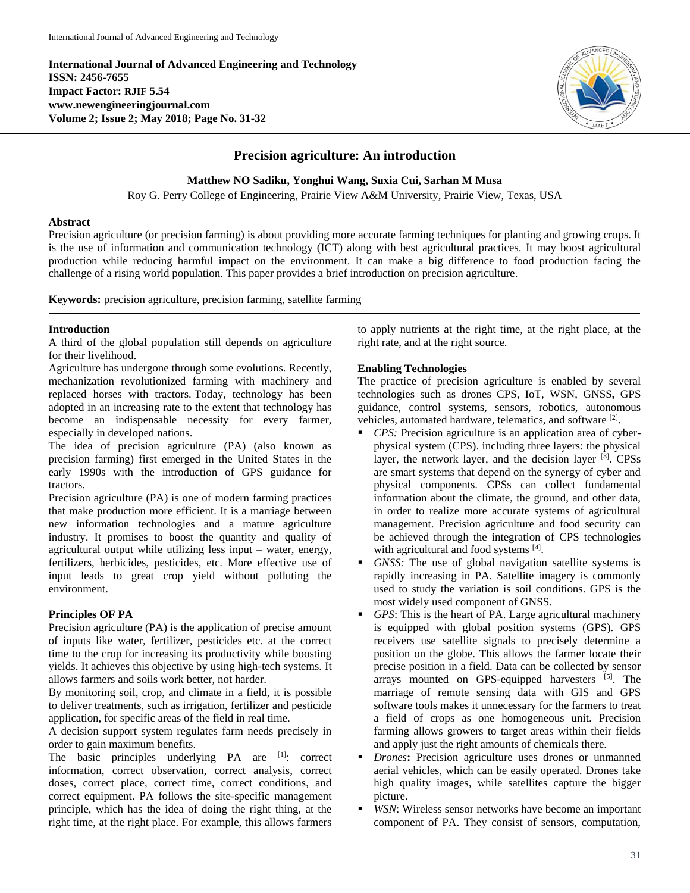**International Journal of Advanced Engineering and Technology ISSN: 2456-7655 Impact Factor: RJIF 5.54 www.newengineeringjournal.com Volume 2; Issue 2; May 2018; Page No. 31-32**



# **Precision agriculture: An introduction**

**Matthew NO Sadiku, Yonghui Wang, Suxia Cui, Sarhan M Musa**

Roy G. Perry College of Engineering, Prairie View A&M University, Prairie View, Texas, USA

### **Abstract**

Precision agriculture (or precision farming) is about providing more accurate farming techniques for planting and growing crops. It is the use of information and communication technology (ICT) along with best agricultural practices. It may boost agricultural production while reducing harmful impact on the environment. It can make a big difference to food production facing the challenge of a rising world population. This paper provides a brief introduction on precision agriculture.

**Keywords:** precision agriculture, precision farming, satellite farming

### **Introduction**

A third of the global population still depends on agriculture for their livelihood.

Agriculture has undergone through some evolutions. Recently, mechanization revolutionized farming with machinery and replaced horses with tractors. Today, technology has been adopted in an increasing rate to the extent that technology has become an indispensable necessity for every farmer, especially in developed nations.

The idea of precision agriculture (PA) (also known as precision farming) first emerged in the United States in the early 1990s with the introduction of GPS guidance for tractors.

Precision agriculture (PA) is one of modern farming practices that make production more efficient. It is a marriage between new information technologies and a mature agriculture industry. It promises to boost the quantity and quality of agricultural output while utilizing less input – water, energy, fertilizers, herbicides, pesticides, etc. More effective use of input leads to great crop yield without polluting the environment.

## **Principles OF PA**

Precision agriculture (PA) is the application of precise amount of inputs like water, fertilizer, pesticides etc. at the correct time to the crop for increasing its productivity while boosting yields. It achieves this objective by using high-tech systems. It allows farmers and soils work better, not harder.

By monitoring soil, crop, and climate in a field, it is possible to deliver treatments, such as irrigation, fertilizer and pesticide application, for specific areas of the field in real time.

A decision support system regulates farm needs precisely in order to gain maximum benefits.

The basic principles underlying PA are [1]: correct information, correct observation, correct analysis, correct doses, correct place, correct time, correct conditions, and correct equipment. PA follows the site-specific management principle, which has the idea of doing the right thing, at the right time, at the right place. For example, this allows farmers to apply nutrients at the right time, at the right place, at the right rate, and at the right source.

# **Enabling Technologies**

The practice of precision agriculture is enabled by several technologies such as drones CPS, IoT, WSN, GNSS**,** GPS guidance, control systems, sensors, robotics, autonomous vehicles, automated hardware, telematics, and software [2].

- *CPS:* Precision agriculture is an application area of cyberphysical system (CPS). including three layers: the physical layer, the network layer, and the decision layer <sup>[3]</sup>. CPSs are smart systems that depend on the synergy of cyber and physical components. CPSs can collect fundamental information about the climate, the ground, and other data, in order to realize more accurate systems of agricultural management. Precision agriculture and food security can be achieved through the integration of CPS technologies with agricultural and food systems [4].
- *GNSS:* The use of global navigation satellite systems is rapidly increasing in PA. Satellite imagery is commonly used to study the variation is soil conditions. GPS is the most widely used component of GNSS.
- *GPS*: This is the heart of PA. Large agricultural machinery is equipped with global position systems (GPS). GPS receivers use satellite signals to precisely determine a position on the globe. This allows the farmer locate their precise position in a field. Data can be collected by sensor arrays mounted on GPS-equipped harvesters [5]. The marriage of remote sensing data with GIS and GPS software tools makes it unnecessary for the farmers to treat a field of crops as one homogeneous unit. Precision farming allows growers to target areas within their fields and apply just the right amounts of chemicals there.
- *Drones***:** Precision agriculture uses drones or unmanned aerial vehicles, which can be easily operated. Drones take high quality images, while satellites capture the bigger picture.
- *WSN*: Wireless sensor networks have become an important component of PA. They consist of sensors, computation,